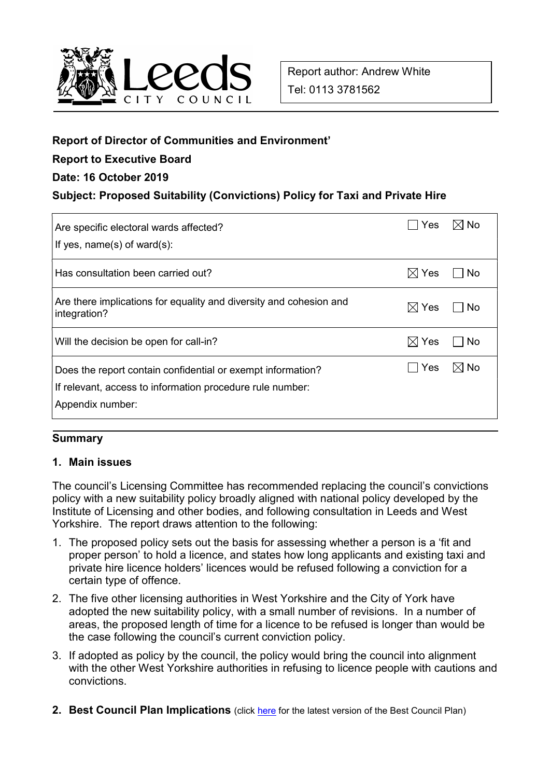

## Report of Director of Communities and Environment'

## Report to Executive Board

#### Date: 16 October 2019

### Subject: Proposed Suitability (Convictions) Policy for Taxi and Private Hire

| Are specific electoral wards affected?<br>If yes, $name(s)$ of ward $(s)$ :                                                                  | Yes              | ⊲ No           |
|----------------------------------------------------------------------------------------------------------------------------------------------|------------------|----------------|
| Has consultation been carried out?                                                                                                           | $\boxtimes$ Yes  | No             |
| Are there implications for equality and diversity and cohesion and<br>integration?                                                           | Yes<br>$\bowtie$ | No             |
| Will the decision be open for call-in?                                                                                                       | $\boxtimes$ Yes  | No             |
| Does the report contain confidential or exempt information?<br>If relevant, access to information procedure rule number:<br>Appendix number: | Yes              | $\boxtimes$ No |

#### **Summary**

#### 1. Main issues

The council's Licensing Committee has recommended replacing the council's convictions policy with a new suitability policy broadly aligned with national policy developed by the Institute of Licensing and other bodies, and following consultation in Leeds and West Yorkshire. The report draws attention to the following:

- 1. The proposed policy sets out the basis for assessing whether a person is a 'fit and proper person' to hold a licence, and states how long applicants and existing taxi and private hire licence holders' licences would be refused following a conviction for a certain type of offence.
- 2. The five other licensing authorities in West Yorkshire and the City of York have adopted the new suitability policy, with a small number of revisions. In a number of areas, the proposed length of time for a licence to be refused is longer than would be the case following the council's current conviction policy.
- 3. If adopted as policy by the council, the policy would bring the council into alignment with the other West Yorkshire authorities in refusing to licence people with cautions and convictions.
- 2. Best Council Plan Implications (click here for the latest version of the Best Council Plan)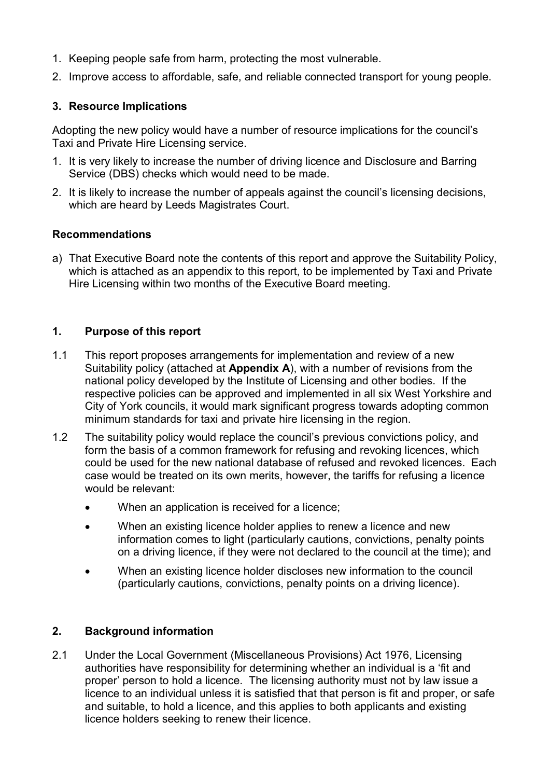- 1. Keeping people safe from harm, protecting the most vulnerable.
- 2. Improve access to affordable, safe, and reliable connected transport for young people.

# 3. Resource Implications

Adopting the new policy would have a number of resource implications for the council's Taxi and Private Hire Licensing service.

- 1. It is very likely to increase the number of driving licence and Disclosure and Barring Service (DBS) checks which would need to be made.
- 2. It is likely to increase the number of appeals against the council's licensing decisions, which are heard by Leeds Magistrates Court.

### Recommendations

a) That Executive Board note the contents of this report and approve the Suitability Policy, which is attached as an appendix to this report, to be implemented by Taxi and Private Hire Licensing within two months of the Executive Board meeting.

### 1. Purpose of this report

- 1.1 This report proposes arrangements for implementation and review of a new Suitability policy (attached at **Appendix A)**, with a number of revisions from the national policy developed by the Institute of Licensing and other bodies. If the respective policies can be approved and implemented in all six West Yorkshire and City of York councils, it would mark significant progress towards adopting common minimum standards for taxi and private hire licensing in the region.
- 1.2 The suitability policy would replace the council's previous convictions policy, and form the basis of a common framework for refusing and revoking licences, which could be used for the new national database of refused and revoked licences. Each case would be treated on its own merits, however, the tariffs for refusing a licence would be relevant:
	- When an application is received for a licence;
	- When an existing licence holder applies to renew a licence and new information comes to light (particularly cautions, convictions, penalty points on a driving licence, if they were not declared to the council at the time); and
	- When an existing licence holder discloses new information to the council (particularly cautions, convictions, penalty points on a driving licence).

# 2. Background information

2.1 Under the Local Government (Miscellaneous Provisions) Act 1976, Licensing authorities have responsibility for determining whether an individual is a 'fit and proper' person to hold a licence. The licensing authority must not by law issue a licence to an individual unless it is satisfied that that person is fit and proper, or safe and suitable, to hold a licence, and this applies to both applicants and existing licence holders seeking to renew their licence.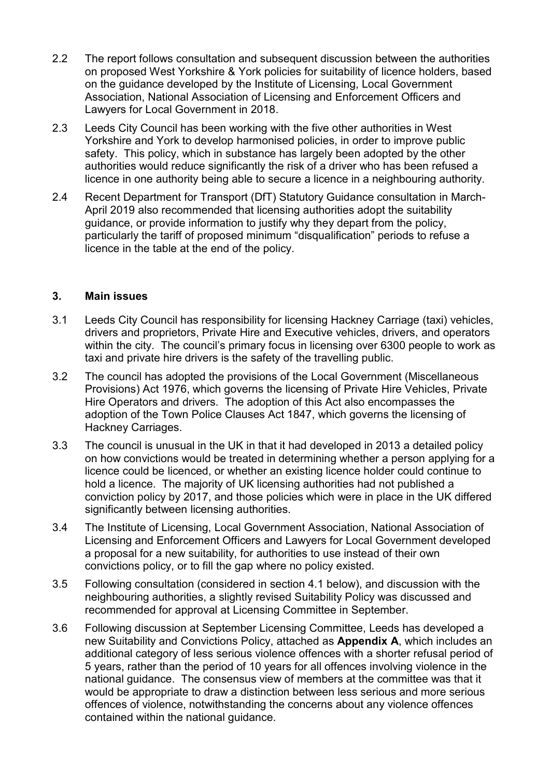- 2.2 The report follows consultation and subsequent discussion between the authorities on proposed West Yorkshire & York policies for suitability of licence holders, based on the guidance developed by the Institute of Licensing, Local Government Association, National Association of Licensing and Enforcement Officers and Lawyers for Local Government in 2018.
- 2.3 Leeds City Council has been working with the five other authorities in West Yorkshire and York to develop harmonised policies, in order to improve public safety. This policy, which in substance has largely been adopted by the other authorities would reduce significantly the risk of a driver who has been refused a licence in one authority being able to secure a licence in a neighbouring authority.
- 2.4 Recent Department for Transport (DfT) Statutory Guidance consultation in March-April 2019 also recommended that licensing authorities adopt the suitability guidance, or provide information to justify why they depart from the policy, particularly the tariff of proposed minimum "disqualification" periods to refuse a licence in the table at the end of the policy.

#### 3. Main issues

- 3.1 Leeds City Council has responsibility for licensing Hackney Carriage (taxi) vehicles, drivers and proprietors, Private Hire and Executive vehicles, drivers, and operators within the city. The council's primary focus in licensing over 6300 people to work as taxi and private hire drivers is the safety of the travelling public.
- 3.2 The council has adopted the provisions of the Local Government (Miscellaneous Provisions) Act 1976, which governs the licensing of Private Hire Vehicles, Private Hire Operators and drivers. The adoption of this Act also encompasses the adoption of the Town Police Clauses Act 1847, which governs the licensing of Hackney Carriages.
- 3.3 The council is unusual in the UK in that it had developed in 2013 a detailed policy on how convictions would be treated in determining whether a person applying for a licence could be licenced, or whether an existing licence holder could continue to hold a licence. The majority of UK licensing authorities had not published a conviction policy by 2017, and those policies which were in place in the UK differed significantly between licensing authorities.
- 3.4 The Institute of Licensing, Local Government Association, National Association of Licensing and Enforcement Officers and Lawyers for Local Government developed a proposal for a new suitability, for authorities to use instead of their own convictions policy, or to fill the gap where no policy existed.
- 3.5 Following consultation (considered in section 4.1 below), and discussion with the neighbouring authorities, a slightly revised Suitability Policy was discussed and recommended for approval at Licensing Committee in September.
- 3.6 Following discussion at September Licensing Committee, Leeds has developed a new Suitability and Convictions Policy, attached as Appendix A, which includes an additional category of less serious violence offences with a shorter refusal period of 5 years, rather than the period of 10 years for all offences involving violence in the national guidance. The consensus view of members at the committee was that it would be appropriate to draw a distinction between less serious and more serious offences of violence, notwithstanding the concerns about any violence offences contained within the national guidance.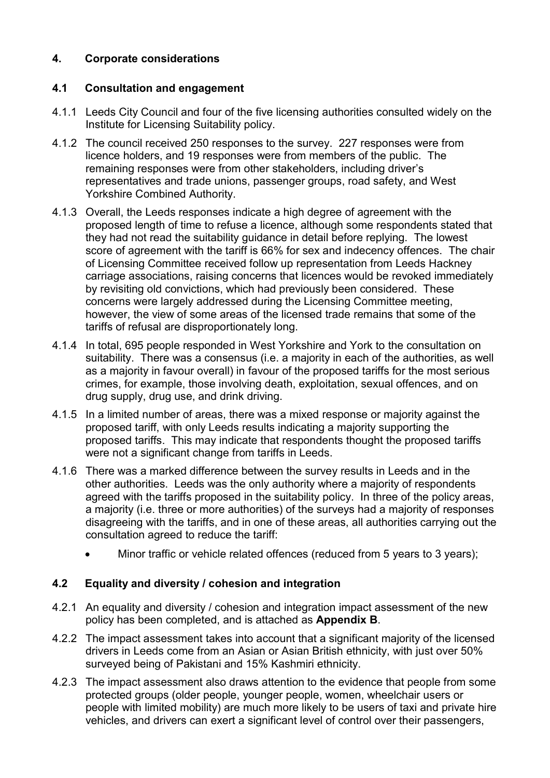# 4. Corporate considerations

# 4.1 Consultation and engagement

- 4.1.1 Leeds City Council and four of the five licensing authorities consulted widely on the Institute for Licensing Suitability policy.
- 4.1.2 The council received 250 responses to the survey. 227 responses were from licence holders, and 19 responses were from members of the public. The remaining responses were from other stakeholders, including driver's representatives and trade unions, passenger groups, road safety, and West Yorkshire Combined Authority.
- 4.1.3 Overall, the Leeds responses indicate a high degree of agreement with the proposed length of time to refuse a licence, although some respondents stated that they had not read the suitability guidance in detail before replying. The lowest score of agreement with the tariff is 66% for sex and indecency offences. The chair of Licensing Committee received follow up representation from Leeds Hackney carriage associations, raising concerns that licences would be revoked immediately by revisiting old convictions, which had previously been considered. These concerns were largely addressed during the Licensing Committee meeting, however, the view of some areas of the licensed trade remains that some of the tariffs of refusal are disproportionately long.
- 4.1.4 In total, 695 people responded in West Yorkshire and York to the consultation on suitability. There was a consensus (i.e. a majority in each of the authorities, as well as a majority in favour overall) in favour of the proposed tariffs for the most serious crimes, for example, those involving death, exploitation, sexual offences, and on drug supply, drug use, and drink driving.
- 4.1.5 In a limited number of areas, there was a mixed response or majority against the proposed tariff, with only Leeds results indicating a majority supporting the proposed tariffs. This may indicate that respondents thought the proposed tariffs were not a significant change from tariffs in Leeds.
- 4.1.6 There was a marked difference between the survey results in Leeds and in the other authorities. Leeds was the only authority where a majority of respondents agreed with the tariffs proposed in the suitability policy. In three of the policy areas, a majority (i.e. three or more authorities) of the surveys had a majority of responses disagreeing with the tariffs, and in one of these areas, all authorities carrying out the consultation agreed to reduce the tariff:
	- Minor traffic or vehicle related offences (reduced from 5 years to 3 years):

# 4.2 Equality and diversity / cohesion and integration

- 4.2.1 An equality and diversity / cohesion and integration impact assessment of the new policy has been completed, and is attached as Appendix B.
- 4.2.2 The impact assessment takes into account that a significant majority of the licensed drivers in Leeds come from an Asian or Asian British ethnicity, with just over 50% surveyed being of Pakistani and 15% Kashmiri ethnicity.
- 4.2.3 The impact assessment also draws attention to the evidence that people from some protected groups (older people, younger people, women, wheelchair users or people with limited mobility) are much more likely to be users of taxi and private hire vehicles, and drivers can exert a significant level of control over their passengers,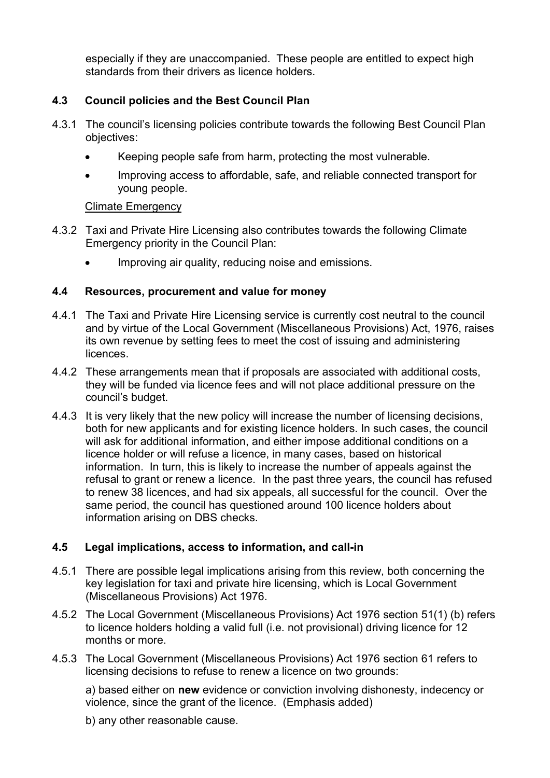especially if they are unaccompanied. These people are entitled to expect high standards from their drivers as licence holders.

# 4.3 Council policies and the Best Council Plan

- 4.3.1 The council's licensing policies contribute towards the following Best Council Plan objectives:
	- Keeping people safe from harm, protecting the most vulnerable.
	- Improving access to affordable, safe, and reliable connected transport for young people.

# Climate Emergency

- 4.3.2 Taxi and Private Hire Licensing also contributes towards the following Climate Emergency priority in the Council Plan:
	- Improving air quality, reducing noise and emissions.

# 4.4 Resources, procurement and value for money

- 4.4.1 The Taxi and Private Hire Licensing service is currently cost neutral to the council and by virtue of the Local Government (Miscellaneous Provisions) Act, 1976, raises its own revenue by setting fees to meet the cost of issuing and administering **licences**
- 4.4.2 These arrangements mean that if proposals are associated with additional costs, they will be funded via licence fees and will not place additional pressure on the council's budget.
- 4.4.3 It is very likely that the new policy will increase the number of licensing decisions, both for new applicants and for existing licence holders. In such cases, the council will ask for additional information, and either impose additional conditions on a licence holder or will refuse a licence, in many cases, based on historical information. In turn, this is likely to increase the number of appeals against the refusal to grant or renew a licence. In the past three years, the council has refused to renew 38 licences, and had six appeals, all successful for the council. Over the same period, the council has questioned around 100 licence holders about information arising on DBS checks.

# 4.5 Legal implications, access to information, and call-in

- 4.5.1 There are possible legal implications arising from this review, both concerning the key legislation for taxi and private hire licensing, which is Local Government (Miscellaneous Provisions) Act 1976.
- 4.5.2 The Local Government (Miscellaneous Provisions) Act 1976 section 51(1) (b) refers to licence holders holding a valid full (i.e. not provisional) driving licence for 12 months or more.
- 4.5.3 The Local Government (Miscellaneous Provisions) Act 1976 section 61 refers to licensing decisions to refuse to renew a licence on two grounds:

a) based either on new evidence or conviction involving dishonesty, indecency or violence, since the grant of the licence. (Emphasis added)

b) any other reasonable cause.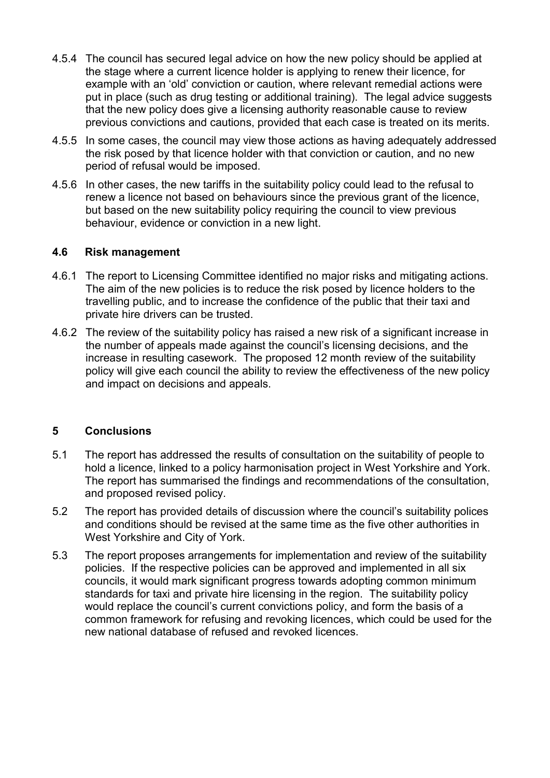- 4.5.4 The council has secured legal advice on how the new policy should be applied at the stage where a current licence holder is applying to renew their licence, for example with an 'old' conviction or caution, where relevant remedial actions were put in place (such as drug testing or additional training). The legal advice suggests that the new policy does give a licensing authority reasonable cause to review previous convictions and cautions, provided that each case is treated on its merits.
- 4.5.5 In some cases, the council may view those actions as having adequately addressed the risk posed by that licence holder with that conviction or caution, and no new period of refusal would be imposed.
- 4.5.6 In other cases, the new tariffs in the suitability policy could lead to the refusal to renew a licence not based on behaviours since the previous grant of the licence, but based on the new suitability policy requiring the council to view previous behaviour, evidence or conviction in a new light.

#### 4.6 Risk management

- 4.6.1 The report to Licensing Committee identified no major risks and mitigating actions. The aim of the new policies is to reduce the risk posed by licence holders to the travelling public, and to increase the confidence of the public that their taxi and private hire drivers can be trusted.
- 4.6.2 The review of the suitability policy has raised a new risk of a significant increase in the number of appeals made against the council's licensing decisions, and the increase in resulting casework. The proposed 12 month review of the suitability policy will give each council the ability to review the effectiveness of the new policy and impact on decisions and appeals.

# 5 Conclusions

- 5.1 The report has addressed the results of consultation on the suitability of people to hold a licence, linked to a policy harmonisation project in West Yorkshire and York. The report has summarised the findings and recommendations of the consultation, and proposed revised policy.
- 5.2 The report has provided details of discussion where the council's suitability polices and conditions should be revised at the same time as the five other authorities in West Yorkshire and City of York.
- 5.3 The report proposes arrangements for implementation and review of the suitability policies. If the respective policies can be approved and implemented in all six councils, it would mark significant progress towards adopting common minimum standards for taxi and private hire licensing in the region. The suitability policy would replace the council's current convictions policy, and form the basis of a common framework for refusing and revoking licences, which could be used for the new national database of refused and revoked licences.